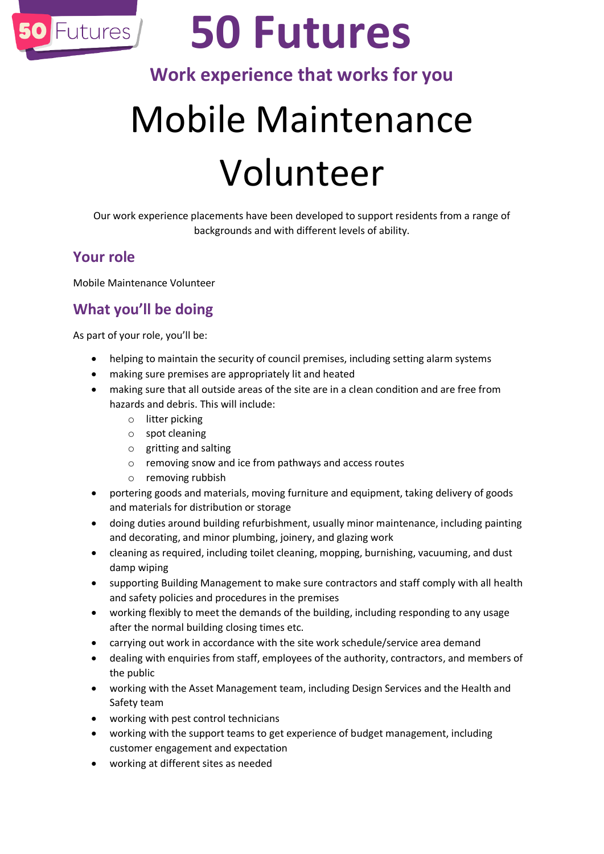

## **50 Futures**

## **Work experience that works for you**

# Mobile Maintenance Volunteer

Our work experience placements have been developed to support residents from a range of backgrounds and with different levels of ability.

### **Your role**

Mobile Maintenance Volunteer

## **What you'll be doing**

As part of your role, you'll be:

- helping to maintain the security of council premises, including setting alarm systems
- making sure premises are appropriately lit and heated
- making sure that all outside areas of the site are in a clean condition and are free from hazards and debris. This will include:
	- o litter picking
	- o spot cleaning
	- o gritting and salting
	- o removing snow and ice from pathways and access routes
	- o removing rubbish
- portering goods and materials, moving furniture and equipment, taking delivery of goods and materials for distribution or storage
- doing duties around building refurbishment, usually minor maintenance, including painting and decorating, and minor plumbing, joinery, and glazing work
- cleaning as required, including toilet cleaning, mopping, burnishing, vacuuming, and dust damp wiping
- supporting Building Management to make sure contractors and staff comply with all health and safety policies and procedures in the premises
- working flexibly to meet the demands of the building, including responding to any usage after the normal building closing times etc.
- carrying out work in accordance with the site work schedule/service area demand
- dealing with enquiries from staff, employees of the authority, contractors, and members of the public
- working with the Asset Management team, including Design Services and the Health and Safety team
- working with pest control technicians
- working with the support teams to get experience of budget management, including customer engagement and expectation
- working at different sites as needed